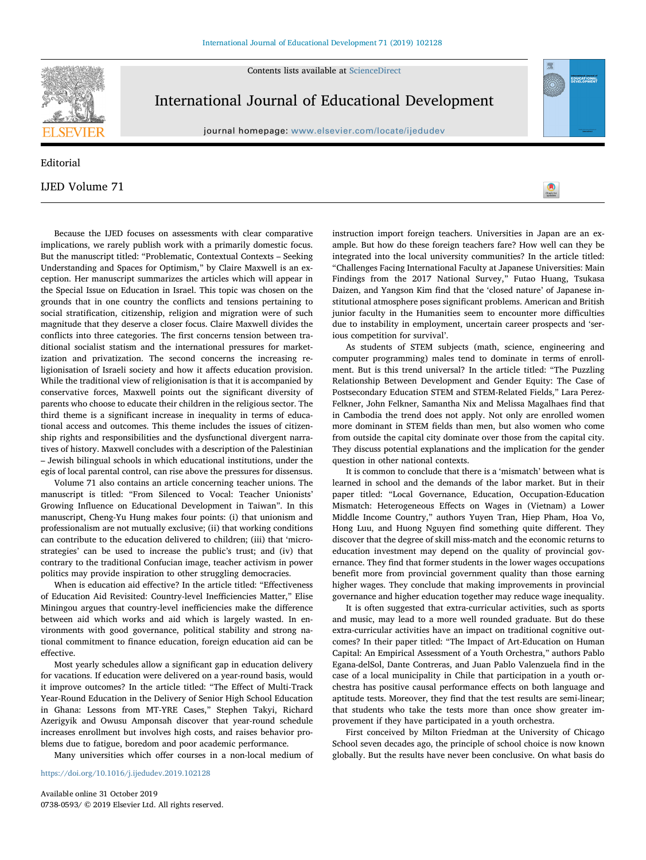Contents lists available at [ScienceDirect](http://www.sciencedirect.com/science/journal/07380593)



## International Journal of Educational Development

journal homepage: [www.elsevier.com/locate/ijedudev](https://www.elsevier.com/locate/ijedudev)

## Editorial

## IJED Volume 71

Because the IJED focuses on assessments with clear comparative implications, we rarely publish work with a primarily domestic focus. But the manuscript titled: "Problematic, Contextual Contexts – Seeking Understanding and Spaces for Optimism," by Claire Maxwell is an exception. Her manuscript summarizes the articles which will appear in the Special Issue on Education in Israel. This topic was chosen on the grounds that in one country the conflicts and tensions pertaining to social stratification, citizenship, religion and migration were of such magnitude that they deserve a closer focus. Claire Maxwell divides the conflicts into three categories. The first concerns tension between traditional socialist statism and the international pressures for marketization and privatization. The second concerns the increasing religionisation of Israeli society and how it affects education provision. While the traditional view of religionisation is that it is accompanied by conservative forces, Maxwell points out the significant diversity of parents who choose to educate their children in the religious sector. The third theme is a significant increase in inequality in terms of educational access and outcomes. This theme includes the issues of citizenship rights and responsibilities and the dysfunctional divergent narratives of history. Maxwell concludes with a description of the Palestinian – Jewish bilingual schools in which educational institutions, under the egis of local parental control, can rise above the pressures for dissensus.

Volume 71 also contains an article concerning teacher unions. The manuscript is titled: "From Silenced to Vocal: Teacher Unionists' Growing Influence on Educational Development in Taiwan". In this manuscript, Cheng-Yu Hung makes four points: (i) that unionism and professionalism are not mutually exclusive; (ii) that working conditions can contribute to the education delivered to children; (iii) that 'microstrategies' can be used to increase the public's trust; and (iv) that contrary to the traditional Confucian image, teacher activism in power politics may provide inspiration to other struggling democracies.

When is education aid effective? In the article titled: "Effectiveness of Education Aid Revisited: Country-level Inefficiencies Matter," Elise Miningou argues that country-level inefficiencies make the difference between aid which works and aid which is largely wasted. In environments with good governance, political stability and strong national commitment to finance education, foreign education aid can be effective.

Most yearly schedules allow a significant gap in education delivery for vacations. If education were delivered on a year-round basis, would it improve outcomes? In the article titled: "The Effect of Multi-Track Year-Round Education in the Delivery of Senior High School Education in Ghana: Lessons from MT-YRE Cases," Stephen Takyi, Richard Azerigyik and Owusu Amponsah discover that year-round schedule increases enrollment but involves high costs, and raises behavior problems due to fatigue, boredom and poor academic performance.

Many universities which offer courses in a non-local medium of

<https://doi.org/10.1016/j.ijedudev.2019.102128>

Available online 31 October 2019 0738-0593/ © 2019 Elsevier Ltd. All rights reserved. instruction import foreign teachers. Universities in Japan are an example. But how do these foreign teachers fare? How well can they be integrated into the local university communities? In the article titled: "Challenges Facing International Faculty at Japanese Universities: Main Findings from the 2017 National Survey," Futao Huang, Tsukasa Daizen, and Yangson Kim find that the 'closed nature' of Japanese institutional atmosphere poses significant problems. American and British junior faculty in the Humanities seem to encounter more difficulties due to instability in employment, uncertain career prospects and 'serious competition for survival'.

[T](http://crossmark.crossref.org/dialog/?doi=10.1016/j.ijedudev.2019.102128&domain=pdf)

As students of STEM subjects (math, science, engineering and computer programming) males tend to dominate in terms of enrollment. But is this trend universal? In the article titled: "The Puzzling Relationship Between Development and Gender Equity: The Case of Postsecondary Education STEM and STEM-Related Fields," Lara Perez-Felkner, John Felkner, Samantha Nix and Melissa Magalhaes find that in Cambodia the trend does not apply. Not only are enrolled women more dominant in STEM fields than men, but also women who come from outside the capital city dominate over those from the capital city. They discuss potential explanations and the implication for the gender question in other national contexts.

It is common to conclude that there is a 'mismatch' between what is learned in school and the demands of the labor market. But in their paper titled: "Local Governance, Education, Occupation-Education Mismatch: Heterogeneous Effects on Wages in (Vietnam) a Lower Middle Income Country," authors Yuyen Tran, Hiep Pham, Hoa Vo, Hong Luu, and Huong Nguyen find something quite different. They discover that the degree of skill miss-match and the economic returns to education investment may depend on the quality of provincial governance. They find that former students in the lower wages occupations benefit more from provincial government quality than those earning higher wages. They conclude that making improvements in provincial governance and higher education together may reduce wage inequality.

It is often suggested that extra-curricular activities, such as sports and music, may lead to a more well rounded graduate. But do these extra-curricular activities have an impact on traditional cognitive outcomes? In their paper titled: "The Impact of Art-Education on Human Capital: An Empirical Assessment of a Youth Orchestra," authors Pablo Egana-delSol, Dante Contreras, and Juan Pablo Valenzuela find in the case of a local municipality in Chile that participation in a youth orchestra has positive causal performance effects on both language and aptitude tests. Moreover, they find that the test results are semi-linear; that students who take the tests more than once show greater improvement if they have participated in a youth orchestra.

First conceived by Milton Friedman at the University of Chicago School seven decades ago, the principle of school choice is now known globally. But the results have never been conclusive. On what basis do